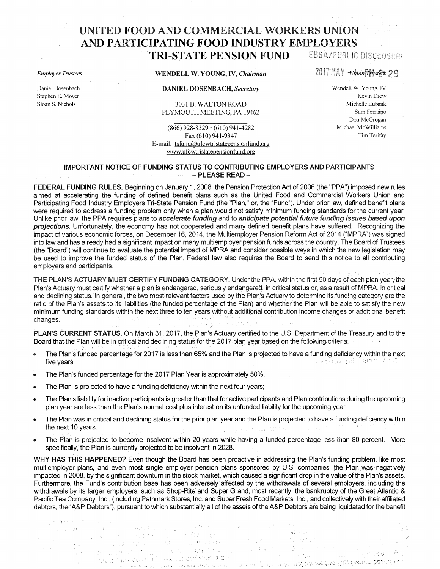## UNITED FOOD AND COMMERCIAL WORKERS UNION AND PARTICIPATING **FOOD** INDUSTRY EMPLOYERS TRI-STATE PENSION FUND EBSA/PUBLIC DISCLOSURE

*Employer Trustees* 

Daniel Dosenbach Stephen E. Moyer Sloan S. Nichols

WENDELL W. YOUNG, IV, *Chairman* 

DANIEL DOSENBACH, *Secretary* 

3031 B. WALTON ROAD PLYMOUTH MEETING, PA 19462

(866) 928-8329. (610) 941-4282 Fax (610) 941-9347 E-mail: tsfund@ufcwtristatepensionfund.org www.ufcwtristatepensionfund.org

2017 MAY -Union Prustees 29

Wendell W. Young, IV Kevin Drew Michelle Eubank Sam Ferraino Don McGrogan Michael Mc Williams Tim Terifay

್ಯಾಂಸಿ

973

## IMPORTANT NOTICE OF FUNDING STATUS TO CONTRIBUTING EMPLOYERS AND PARTICIPANTS  $-$  PLEASE READ  $-$

FEDERAL FUNDING RULES. Beginning on January 1, 2008, the Pension Protection Act of 2006 (the "PPA") imposed new rules aimed at accelerating the funding of defined benefit plans such as the United Food and Commercial Workers Union and Participating Food Industry Employers Tri-State Pension Fund (the "Plan," or, the "Fund"). Under prior law, defined benefit plans were required to address a funding problem only when a plan would not satisfy minimum funding standards for the current vear. Unlike prior law, the PPA requires plans to accelerate funding and to anticipate potential future funding issues based upon projections. Unfortunately, the economy has not cooperated and many defined benefit plans have suffered. Recognizing the impact of various economic forces, on December 16, 2014, the Multiemployer Pension Reform Act of 2014 ("MPRA") was signed into law and has already had a significant impact on many multiemployer pension funds across the country. The Board of Trustees (the "Board") will continue to evaluate the potential impact of MPRA and consider possible ways in which the new legislation may be used to improve the funded status of the Plan. Federal law also requires the Board to send this notice to all contributing employers and participants.

THE PLAN'S ACTUARY MUST CERTIFY FUNDING CATEGORY. Under the PPA, within the first 90 days of each plan year, the Plan's Actuary must certify whether a plan is endangered, seriously endangered, in critical status or, as a result of MPRA, in critical and declining status. In general, the two most relevant factors used by the Plan's Actuary to determine its funding category are the ratio of the Plan's assets to its liabilities (the funded percentage of the Plan) and whether the Plan will be able to satisfy the new minimum funding standards within the next three to ten years without additional contribution income changes or additional benefit changes. · ·· · .,, '· · ·

PLAN'S CURRENT STATUS. On March 31, 2017, the Plan's Actuary certified to the U.S. Department of the Treasury and to the Board that the Plan will be in critical and declining status for the 2017 plan year based on the following criteria:  $\sim$ 

- The Plan's funded percentage for 2017 is less than 65% and the Plan is projected to have a funding deficiency within the next fiveyears; .-,., .,. ':'····· ,, .. "··
- The Plan's funded percentage for the 2017 Plan Year is approximately 50%;
- The Plan is projected to have a funding deficiency within the next four years;

11·: • .-1 ; ',

**キャンボーナーマー ふん** 

k.

- The Plan's liability for inactive participants is greater than that for active participants and Plan contributions during the upcoming plan year are less than the Plan's normal cost plus interest on its unfunded liability for the upcoming year;
- The Plan was in critical and declining status for the prior plan year and the Plan is projected to have a funding deficiency within the next 10 years. , where the property conditions of the condition of the form  $\mathbb{Z}^2$
- The Plan is projected to become insolvent within 20 years while having a funded percentage less than 80 percent. More specifically, the Plan is currently projected to be insolvent in 2028.

WHY HAS THIS HAPPENED? Even though the Board has been proactive in addressing the Plan's funding problem, like most multiemployer plans, and even most single employer pension plans sponsored by U.S. companies, the Plan was negatively impacted in 2008, by the significant downturn in the stock market, which caused a significant drop in the value of the Plan's assets. Furthermore, the Fund's contribution base has been adversely affected by the withdrawals of several employers, including the withdrawals by its larger employers, such as Shop-Rite and Super G and, most recently, the bankruptcy of the Great Atlantic & Pacific Tea Company, Inc., (including Pathmark Stores, Inc. and Super Fresh Food Markets, Inc., and collectively with their affiliated debtors, the "A&P Debtors"), pursuant to which substantially all of the assets of the A&P Debtors are being liquidated for the benefit

 $.$  :  $:$ 

.. -. ~ :~ ·:. ' ... ·,.'.